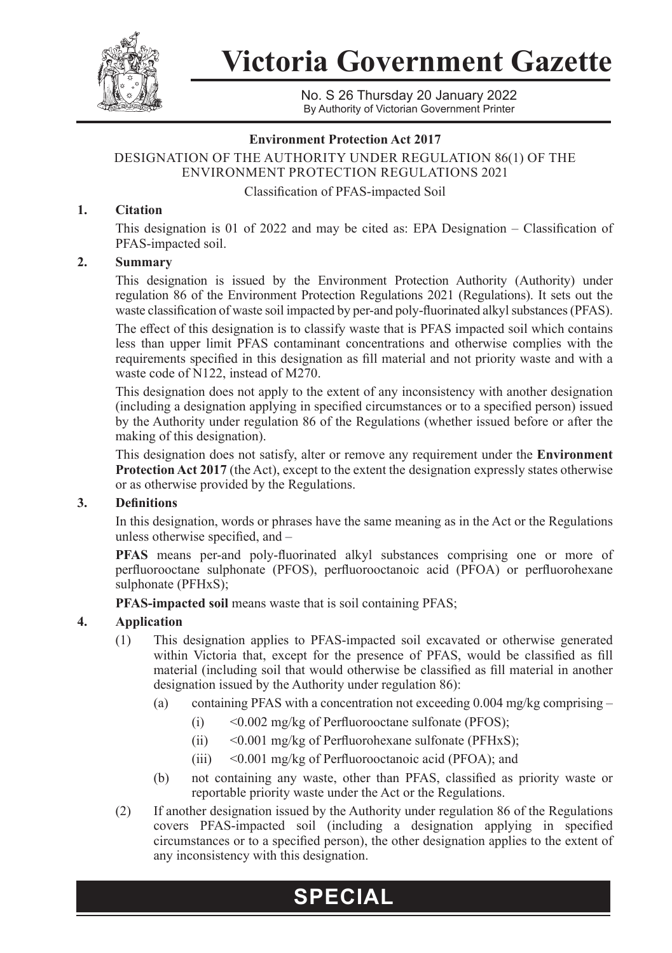

**Victoria Government Gazette**

No. S 26 Thursday 20 January 2022 By Authority of Victorian Government Printer

#### **Environment Protection Act 2017**

#### DESIGNATION OF THE AUTHORITY UNDER REGULATION 86(1) OF THE ENVIRONMENT PROTECTION REGULATIONS 2021

Classification of PFAS-impacted Soil

#### **1. Citation**

This designation is 01 of 2022 and may be cited as: EPA Designation – Classification of PFAS-impacted soil.

#### **2. Summary**

This designation is issued by the Environment Protection Authority (Authority) under regulation 86 of the Environment Protection Regulations 2021 (Regulations). It sets out the waste classification of waste soil impacted by per-and poly-fluorinated alkyl substances (PFAS).

The effect of this designation is to classify waste that is PFAS impacted soil which contains less than upper limit PFAS contaminant concentrations and otherwise complies with the requirements specified in this designation as fill material and not priority waste and with a waste code of N122, instead of M270.

This designation does not apply to the extent of any inconsistency with another designation (including a designation applying in specified circumstances or to a specified person) issued by the Authority under regulation 86 of the Regulations (whether issued before or after the making of this designation).

This designation does not satisfy, alter or remove any requirement under the **Environment Protection Act 2017** (the Act), except to the extent the designation expressly states otherwise or as otherwise provided by the Regulations.

#### **3. Definitions**

In this designation, words or phrases have the same meaning as in the Act or the Regulations unless otherwise specified, and –

**PFAS** means per-and poly-fluorinated alkyl substances comprising one or more of perfluorooctane sulphonate (PFOS), perfluorooctanoic acid (PFOA) or perfluorohexane sulphonate (PFHxS);

**PFAS-impacted soil** means waste that is soil containing PFAS;

#### **4. Application**

- (1) This designation applies to PFAS-impacted soil excavated or otherwise generated within Victoria that, except for the presence of PFAS, would be classified as fill material (including soil that would otherwise be classified as fill material in another designation issued by the Authority under regulation 86):
	- (a) containing PFAS with a concentration not exceeding  $0.004$  mg/kg comprising
		- (i) <0.002 mg/kg of Perfluorooctane sulfonate (PFOS);
		- (ii) <0.001 mg/kg of Perfluorohexane sulfonate (PFHxS);
		- (iii) <0.001 mg/kg of Perfluorooctanoic acid (PFOA); and
	- (b) not containing any waste, other than PFAS, classified as priority waste or reportable priority waste under the Act or the Regulations.
- (2) If another designation issued by the Authority under regulation 86 of the Regulations covers PFAS-impacted soil (including a designation applying in specified circumstances or to a specified person), the other designation applies to the extent of any inconsistency with this designation.

## **SPECIAL**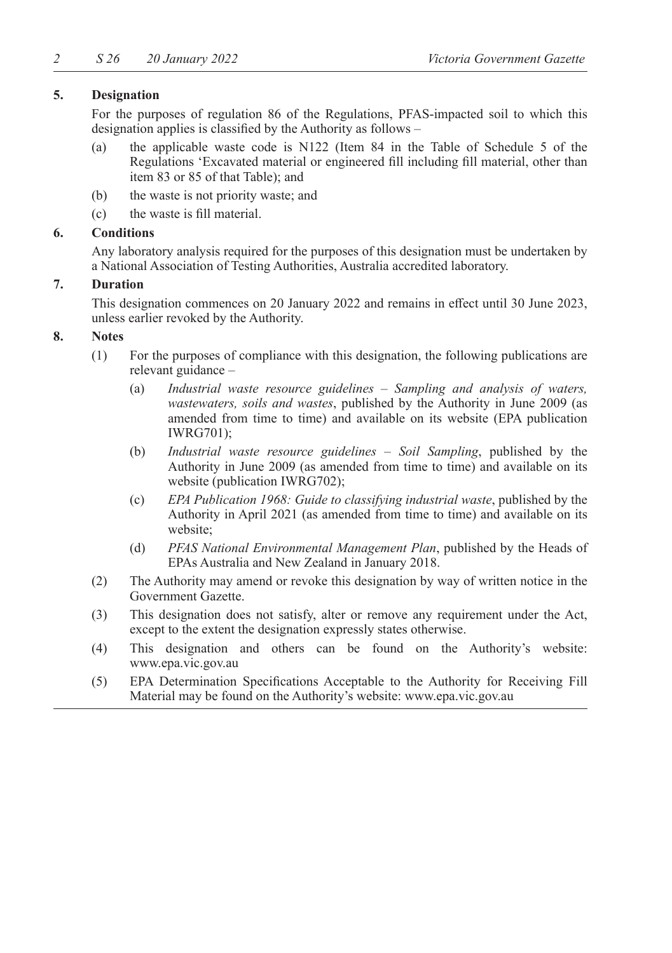#### **5. Designation**

For the purposes of regulation 86 of the Regulations, PFAS-impacted soil to which this designation applies is classified by the Authority as follows –

- (a) the applicable waste code is N122 (Item 84 in the Table of Schedule 5 of the Regulations 'Excavated material or engineered fill including fill material, other than item 83 or 85 of that Table); and
- (b) the waste is not priority waste; and
- (c) the waste is fill material.

#### **6. Conditions**

Any laboratory analysis required for the purposes of this designation must be undertaken by a National Association of Testing Authorities, Australia accredited laboratory.

#### **7. Duration**

This designation commences on 20 January 2022 and remains in effect until 30 June 2023, unless earlier revoked by the Authority.

#### **8. Notes**

- (1) For the purposes of compliance with this designation, the following publications are relevant guidance –
	- (a) *Industrial waste resource guidelines Sampling and analysis of waters, wastewaters, soils and wastes*, published by the Authority in June 2009 (as amended from time to time) and available on its website (EPA publication IWRG701);
	- (b) *Industrial waste resource guidelines Soil Sampling*, published by the Authority in June 2009 (as amended from time to time) and available on its website (publication IWRG702);
	- (c) *EPA Publication 1968: Guide to classifying industrial waste*, published by the Authority in April 2021 (as amended from time to time) and available on its website;
	- (d) *PFAS National Environmental Management Plan*, published by the Heads of EPAs Australia and New Zealand in January 2018.
- (2) The Authority may amend or revoke this designation by way of written notice in the Government Gazette.
- (3) This designation does not satisfy, alter or remove any requirement under the Act, except to the extent the designation expressly states otherwise.
- (4) This designation and others can be found on the Authority's website: www.epa.vic.gov.au
- (5) EPA Determination Specifications Acceptable to the Authority for Receiving Fill Material may be found on the Authority's website: www.epa.vic.gov.au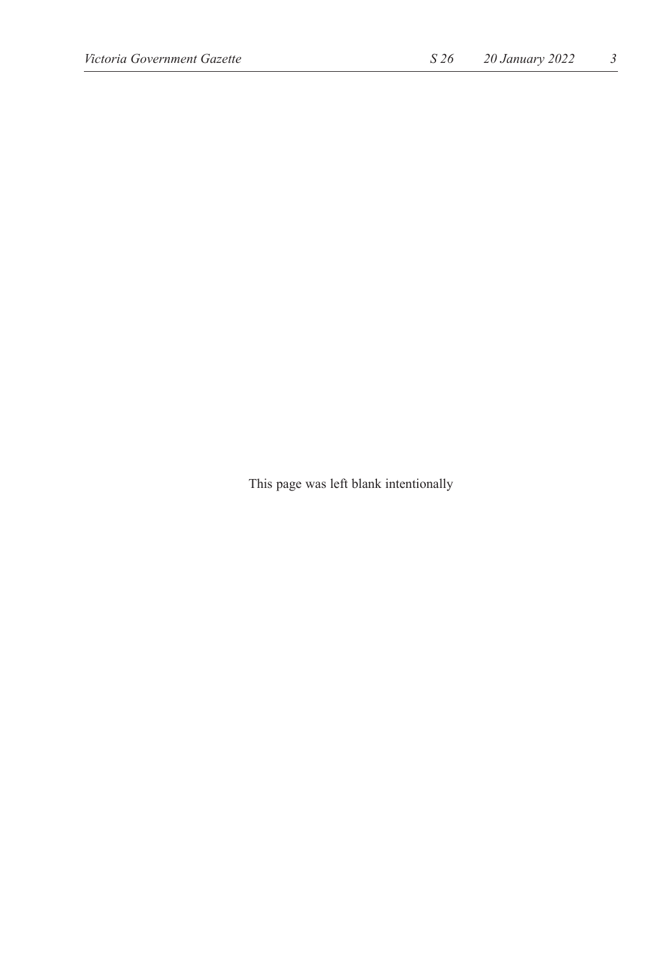This page was left blank intentionally